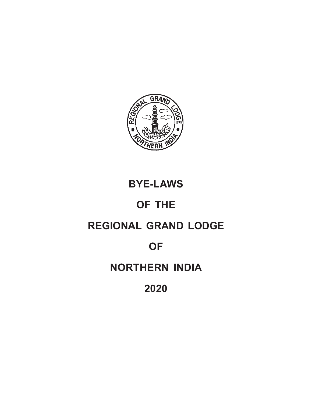

# **BYE-LAWS**

# **OF THE**

# **REGIONAL GRAND LODGE**

# **OF**

# **NORTHERN INDIA**

# **2020**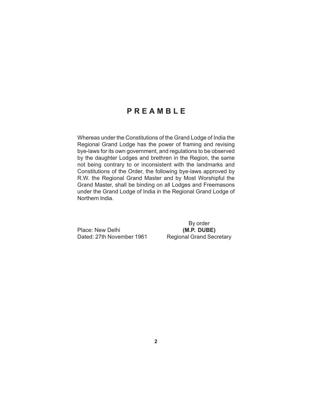# **PREAMBLE**

Whereas under the Constitutions of the Grand Lodge of India the Regional Grand Lodge has the power of framing and revising bye-laws for its own government, and regulations to be observed by the daughter Lodges and brethren in the Region, the same not being contrary to or inconsistent with the landmarks and Constitutions of the Order, the following bye-laws approved by R.W. the Regional Grand Master and by Most Worshipful the Grand Master, shall be binding on all Lodges and Freemasons under the Grand Lodge of India in the Regional Grand Lodge of Northern India.

Place: New Delhi **(M.P. DUBE)** Dated: 27th November 1961 Regional Grand Secretary

By order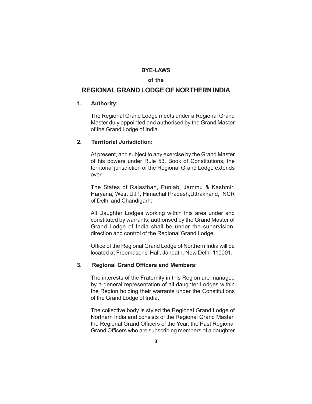#### **BYE-LAWS**

#### **of the**

# **REGIONAL GRAND LODGE OF NORTHERN INDIA**

# **1. Authority:**

The Regional Grand Lodge meets under a Regional Grand Master duly appointed and authorised by the Grand Master of the Grand Lodge of India.

#### **2. Territorial Jurisdiction:**

At present, and subject to any exercise by the Grand Master of his powers under Rule 53, Book of Constitutions, the territorial jurisdiction of the Regional Grand Lodge extends over:

The States of Rajasthan, Punjab, Jammu & Kashmir, Haryana, West U.P., Himachal Pradesh,Uttrakhand, NCR of Delhi and Chandigarh:

All Daughter Lodges working within this area under and constituted by warrants, authorised by the Grand Master of Grand Lodge of India shall be under the supervision, direction and control of the Regional'Grand Lodge.

Office of the Regional Grand Lodge of Northern India will be located at Freemasons' Hall, Janpath, New Delhi-110001.

#### **3. Regional Grand Officers and Members:**

The interests of the Fraternity in this Region are managed by a general representation of all daughter Lodges within the Region holding their warrants under the Constitutions of the Grand Lodge of India.

The collective body is styled the Regional Grand Lodge of Northern India and consists of the Regional Grand Master, the Regional Grand Officers of the Year, the Past Regional Grand Officers who are subscribing members of a daughter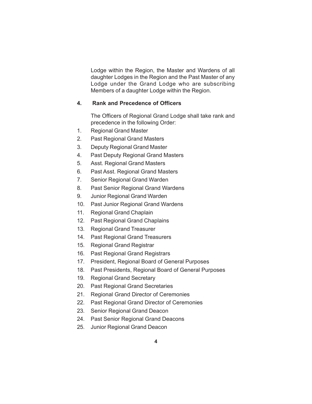Lodge within the Region, the Master and Wardens of all daughter Lodges in the Region and the Past Master of any Lodge under the Grand Lodge who are subscribing Members of a daughter Lodge within the Region.

# **4. Rank and Precedence of Officers**

The Officers of Regional Grand Lodge shall take rank and precedence in the following Order:

- 1. Regional Grand Master
- 2. Past Regional Grand Masters
- 3. Deputy Regional Grand Master
- 4. Past Deputy Regional Grand Masters
- 5. Asst. Regional Grand Masters
- 6. Past Asst. Regional Grand Masters
- 7. Senior Regional Grand Warden
- 8. Past Senior Regional Grand Wardens
- 9. Junior Regional Grand Warden
- 10. Past Junior Regional Grand Wardens
- 11. Regional Grand Chaplain
- 12. Past Regional Grand Chaplains
- 13. Regional Grand Treasurer
- 14. Past Regional Grand Treasurers
- 15. Regional Grand Registrar
- 16. Past Regional Grand Registrars
- 17. President, Regional Board of General Purposes
- 18. Past Presidents, Regional Board of General Purposes
- 19. Regional Grand Secretary
- 20. Past Regional Grand Secretaries
- 21. Regional Grand Director of Ceremonies
- 22. Past Regional Grand Director of Ceremonies
- 23. Senior Regional Grand Deacon
- 24. Past Senior Regional Grand Deacons
- 25. Junior Regional Grand Deacon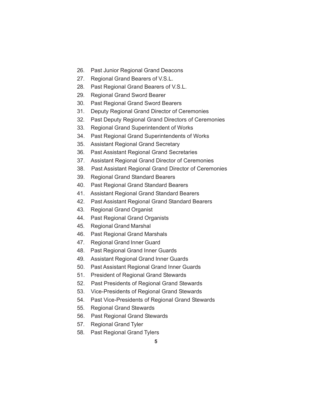- 26. Past Junior Regional Grand Deacons
- 27. Regional Grand Bearers of V.S.L.
- 28. Past Regional Grand Bearers of V.S.L.
- 29. Regional Grand Sword Bearer
- 30. Past Regional Grand Sword Bearers
- 31. Deputy Regional Grand Director of Ceremonies
- 32. Past Deputy Regional Grand Directors of Ceremonies
- 33. Regional Grand Superintendent of Works
- 34. Past Regional Grand Superintendents of Works
- 35. Assistant Regional Grand Secretary
- 36. Past Assistant Regional Grand Secretaries
- 37. Assistant Regional Grand Director of Ceremonies
- 38. Past Assistant Regional Grand Director of Ceremonies
- 39. Regional Grand Standard Bearers
- 40. Past Regional Grand Standard Bearers
- 41. Assistant Regional Grand Standard Bearers
- 42. Past Assistant Regional Grand Standard Bearers
- 43. Regional Grand Organist
- 44. Past Regional Grand Organists
- 45. Regional Grand Marshal
- 46. Past Regional Grand Marshals
- 47. Regional Grand Inner Guard
- 48. Past Regional Grand Inner Guards
- 49. Assistant Regional Grand Inner Guards
- 50. Past Assistant Regional Grand Inner Guards
- 51. President of Regional Grand Stewards
- 52. Past Presidents of Regional Grand Stewards
- 53. Vice-Presidents of Regional Grand Stewards
- 54. Past Vice-Presidents of Regional Grand Stewards
- 55. Regional Grand Stewards
- 56. Past Regional Grand Stewards
- 57. Regional Grand Tyler
- 58. Past Regional Grand Tylers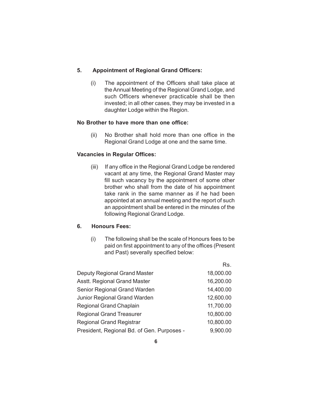### **5. Appointment of Regional Grand Officers:**

(i) The appointment of the Officers shall take place at the Annual Meeting of the Regional Grand Lodge, and such Officers whenever practicable shall be then invested; in all other cases, they may be invested in a daughter Lodge within the Region.

#### **No Brother to have more than one office:**

(ii) No Brother shall hold more than one office in the Regional Grand Lodge at one and the same time.

# **Vacancies in Regular Offices:**

(iii) If any office in the Regional Grand Lodge be rendered vacant at any time, the Regional Grand Master may fill such vacancy by the appointment of some other brother who shall from the date of his appointment take rank in the same manner as if he had been appointed at an annual meeting and the report of such an appointment shall be entered in the minutes of the following Regional Grand Lodge.

# **6. Honours Fees:**

(i) The following shall be the scale of Honours fees to be paid on first appointment to any of the offices (Present and Past) severally specified below:

Rs.

|                                            | rэ.       |
|--------------------------------------------|-----------|
| Deputy Regional Grand Master               | 18,000.00 |
| Asstt. Regional Grand Master               | 16,200.00 |
| Senior Regional Grand Warden               | 14,400.00 |
| Junior Regional Grand Warden               | 12,600.00 |
| <b>Regional Grand Chaplain</b>             | 11,700.00 |
| <b>Regional Grand Treasurer</b>            | 10,800.00 |
| <b>Regional Grand Registrar</b>            | 10,800.00 |
| President, Regional Bd. of Gen. Purposes - | 9,900.00  |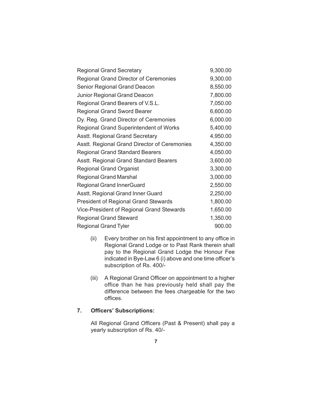| <b>Regional Grand Secretary</b>               | 9,300.00 |
|-----------------------------------------------|----------|
| <b>Regional Grand Director of Ceremonies</b>  | 9,300.00 |
| <b>Senior Regional Grand Deacon</b>           | 8,550.00 |
| Junior Regional Grand Deacon                  | 7,800.00 |
| Regional Grand Bearers of V.S.L.              | 7,050.00 |
| <b>Regional Grand Sword Bearer</b>            | 6,600.00 |
| Dy. Reg. Grand Director of Ceremonies         | 6,000.00 |
| <b>Regional Grand Superintendent of Works</b> | 5,400.00 |
| <b>Asstt. Regional Grand Secretary</b>        | 4,950.00 |
| Asstt. Regional Grand Director of Ceremonies  | 4,350.00 |
| <b>Regional Grand Standard Bearers</b>        | 4,050.00 |
| Asstt. Regional Grand Standard Bearers        | 3,600.00 |
| <b>Regional Grand Organist</b>                | 3,300.00 |
| <b>Regional Grand Marshal</b>                 | 3,000.00 |
| <b>Regional Grand InnerGuard</b>              | 2,550.00 |
| Asstt. Regional Grand Inner Guard             | 2,250,00 |
| <b>President of Regional Grand Stewards</b>   | 1,800.00 |
| Vice-President of Regional Grand Stewards     | 1,650.00 |
| <b>Regional Grand Steward</b>                 | 1,350.00 |
| <b>Regional Grand Tyler</b>                   | 900.00   |

- (ii) Every brother on his first appointment to any office in Regional Grand Lodge or to Past Rank therein shall pay to the Regional Grand Lodge the Honour Fee indicated in Bye-Law 6 (i) above and one time officer's subscription of Rs. 400/-
- (iii) A Regional Grand Officer on appointment to a higher office than he has previously held shall pay the difference between the fees chargeable for the two offices.

# **7. Officers' Subscriptions:**

All Regional Grand Officers (Past & Present) shall pay a yearly subscription of Rs. 40/-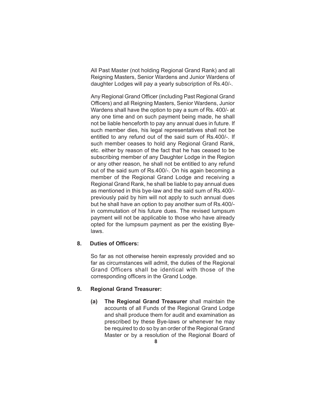All Past Master (not holding Regional Grand Rank) and all Reigning Masters, Senior Wardens and Junior Wardens of daughter Lodges will pay a yearly subscription of Rs.40/-.

Any Regional Grand Officer (including Past Regional Grand Officers) and all Reigning Masters, Senior Wardens, Junior Wardens shall have the option to pay a sum of Rs. 400/- at any one time and on such payment being made, he shall not be liable henceforth to pay any annual dues in future. If such member dies, his legal representatives shall not be entitled to any refund out of the said sum of Rs.400/-. If such member ceases to hold any Regional Grand Rank, etc. either by reason of the fact that he has ceased to be subscribing member of any Daughter Lodge in the Region or any other reason, he shall not be entitled to any refund out of the said sum of Rs.400/-. On his again becoming a member of the Regional Grand Lodge and receiving a Regional Grand Rank, he shall be liable to pay annual dues as mentioned in this bye-law and the said sum of Rs.400/ previously paid by him will not apply to such annual dues but he shall have an option to pay another sum of Rs.400/ in commutation of his future dues. The revised lumpsum payment will not be applicable to those who have already opted for the lumpsum payment as per the existing Byelaws.

#### **8. Duties of Officers:**

So far as not otherwise herein expressly provided and so far as circumstances will admit, the duties of the Regional Grand Officers shall be identical with those of the corresponding officers in the Grand Lodge.

#### **9. Regional Grand Treasurer:**

**(a) The Regional Grand Treasurer** shall maintain the accounts of all Funds of the Regional Grand Lodge and shall produce them for audit and examination as prescribed by these Bye-laws or whenever he may be required to do so by an order of the Regional Grand Master or by a resolution of the Regional Board of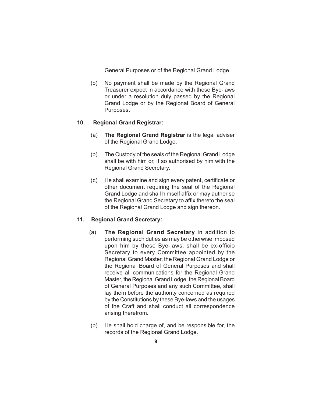General Purposes or of the Regional Grand Lodge.

(b) No payment shall be made by the Regional Grand Treasurer expect in accordance with these Bye-laws or under a resolution duly passed by the Regional Grand Lodge or by the Regional Board of General Purposes.

# **10. Regional Grand Registrar:**

- (a) **The Regional Grand Registrar** is the legal adviser of the Regional Grand Lodge.
- (b) The Custody of the seals of the Regional Grand Lodge shall be with him or, if so authorised by him with the Regional Grand Secretary.
- (c) He shall examine and sign every patent, certificate or other document requiring the seal of the Regional Grand Lodge and shall himself affix or may authorise the Regional Grand Secretary to affix thereto the seal of the Regional Grand Lodge and sign thereon.

#### **11. Regional Grand Secretary:**

- (a) **The Regional Grand Secretary** in addition to performing such duties as may be otherwise imposed upon him by these Bye-laws, shall be ex-officio Secretary to every Committee appointed by the Regional Grand Master, the Regional Grand Lodge or the Regional Board of General Purposes and shall receive all communications for the Regional Grand Master, the Regional Grand Lodge, the Regional Board of General Purposes and any such Committee, shall lay them before the authority concerned as required by the Constitutions by these Bye-laws and the usages of the Craft and shall conduct all correspondence arising therefrom.
- (b) He shall hold charge of, and be responsible for, the records of the Regional Grand Lodge.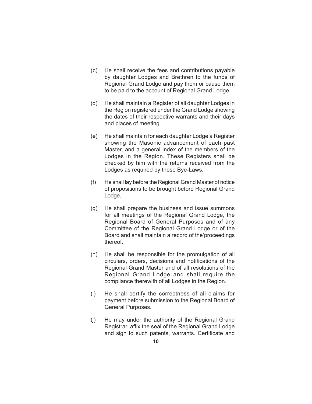- (c) He shall receive the fees and contributions payable by daughter Lodges and Brethren to the funds of Regional Grand Lodge and pay them or cause them to be paid to the account of Regional Grand Lodge.
- (d) He shall maintain a Register of all daughter Lodges in the Region registered under the Grand Lodge showing the dates of their respective warrants and their days and places of meeting.
- (e) He shall maintain for each daughter Lodge a Register showing the Masonic advancement of each past Master, and a general index of the members of the Lodges in the Region. These Registers shall be checked by him with the returns received from the Lodges as required by these Bye-Laws.
- (f) He shall lay before the Regional Grand Master of notice of propositions to be brought before Regional Grand Lodge.
- (g) He shall prepare the business and issue summons for all meetings of the Regional Grand Lodge, the Regional Board of General Purposes and of any Committee of the Regional Grand Lodge or of the Board and shall maintain a record of the'proceedings thereof.
- (h) He shall be responsible for the promulgation of all circulars, orders, decisions and notifications of the Regional Grand Master and of all resolutions of the Regional Grand Lodge and shall require the compliance therewith of all Lodges in the Region.
- (i) He shall certify the correctness of all claims for payment before submission to the Regional Board of General Purposes.
- (j) He may under the authority of the Regional Grand Registrar, affix the seal of the Regional Grand Lodge and sign to such patents, warrants. Certificate and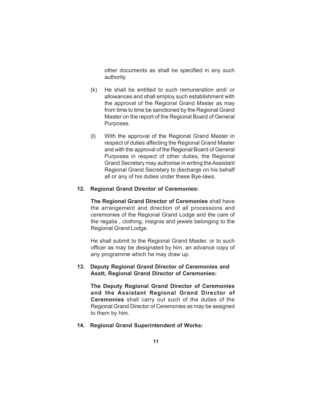other documents as shall be specified in any such authority.

- (k) He shall be entitled to such remuneration and/ or allowances and shall employ such establishment with the approval of the Regional Grand Master as may from time to time be sanctioned by the Regional Grand Master on the report of the Regional Board of General Purposes.
- (I) With the approval of the Regional Grand Master in respect of duties affecting the Regional Grand Master and with the approval of the Regional Board of General Purposes in respect of other duties, the Regional Grand Secretary may authorise in writing the Assistant Regional Grand Secretary to discharge on his behalf all or any of his duties under these Bye-laws.

#### **12. Regional Grand Director of Ceremonies:**

**The Regional Grand Director of Ceremonies** shall have the arrangement and direction of all processions and ceremonies of the Regional Grand Lodge and the care of the regalia , clothing, insignia and jewels belonging to the Regional Grand Lodge.

He shall submit to the Regional Grand Master, or to such officer as may be designated by him, an advance copy of any programme which he may draw up.

#### **13. Deputy Regional Grand Director of Ceremonies and Asstt, Regional Grand Director of Ceremonies:**

**The Deputy Regional Grand Director of Ceremonies and the Assistant Regional Grand Director of Ceremonies** shall carry out such of the duties of the Regional Grand Director of Ceremonies as may be assigned to them by him.

#### **14. Regional Grand Superintendent of Works:**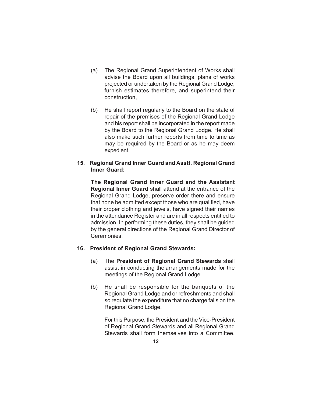- (a) The Regional Grand Superintendent of Works shall advise the Board upon all buildings, plans of works projected or undertaken by the Regional Grand Lodge, furnish estimates therefore, and superintend their construction,
- (b) He shall report regularly to the Board on the state of repair of the premises of the Regional Grand Lodge and his report shall be incorporated in the report made by the Board to the Regional Grand Lodge. He shall also make such further reports from time to time as may be required by the Board or as he may deem expedient.

### **15. Regional Grand Inner Guard and Asstt. Regional Grand Inner Guard:**

**The Regional Grand Inner Guard and the Assistant Regional Inner Guard** shall attend at the entrance of the Regional Grand Lodge, preserve order there and ensure that none be admitted except those who are qualified, have their proper clothing and jewels, have signed their names in the attendance Register and are in all respects entitled to admission. In performing these duties, they shall be guided by the general directions of the Regional Grand Director of Ceremonies.

#### **16. President of Regional Grand Stewards:**

- (a) The **President of Regional Grand Stewards** shall assist in conducting the'arrangements made for the meetings of the Regional Grand Lodge.
- (b) He shall be responsible for the banquets of the Regional Grand Lodge and or refreshments and shall so regulate the expenditure that no charge falls on the Regional Grand Lodge.

For this Purpose, the President and the Vice-President of Regional Grand Stewards and all Regional Grand Stewards shall form themselves into a Committee.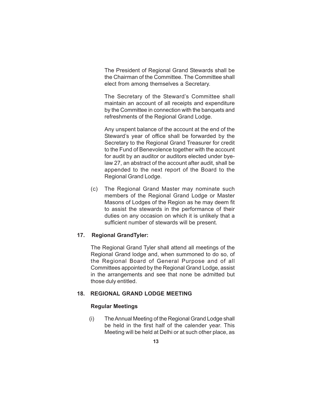The President of Regional Grand Stewards shall be the Chairman of the Committee. The Committee shall elect from among themselves a Secretary.

The Secretary of the Steward's Committee shall maintain an account of all receipts and expenditure by the Committee in connection with the banquets and refreshments of the Regional Grand Lodge.

Any unspent balance of the account at the end of the Steward's year of office shall be forwarded by the Secretary to the Regional Grand Treasurer for credit to the Fund of Benevolence together with the account for audit by an auditor or auditors elected under byelaw 27, an abstract of the account after audit, shall be appended to the next report of the Board to the Regional Grand Lodge.

(c) The Regional Grand Master may nominate such members of the Regional Grand Lodge or Master Masons of Lodges of the Region as he may deem fit to assist the stewards in the performance of their duties on any occasion on which it is unlikely that a sufficient number of stewards will be present.

# **17. Regional GrandTyler:**

The Regional Grand Tyler shall attend all meetings of the Regional Grand lodge and, when summoned to do so, of the Regional Board of General Purpose and of all Committees appointed by the Regional Grand Lodge, assist in the arrangements and see that none be admitted but those duly entitled.

#### **18. REGIONAL GRAND LODGE MEETING**

#### **Regular Meetings**

 (i) The Annual Meeting of the Regional Grand Lodge shall be held in the first half of the calender year. This Meeting will be held at Delhi or at such other place, as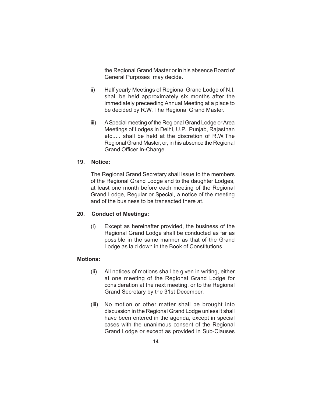the Regional Grand Master or in his absence Board of General Purposes may decide.

- ii) Half yearly Meetings of Regional Grand Lodge of N.I. shall be held approximately six months after the immediately preceeding Annual Meeting at a place to be decided by R.W. The Regional Grand Master.
- iii) A Special meeting of the Regional Grand Lodge or Area Meetings of Lodges in Delhi, U.P., Punjab, Rajasthan etc..... shall be held at the discretion of R.W.The Regional Grand Master, or, in his absence the Regional Grand Officer In-Charge.

#### **19. Notice:**

The Regional Grand Secretary shall issue to the members of the Regional Grand Lodge and to the daughter Lodges, at least one month before each meeting of the Regional Grand Lodge, Regular or Special, a notice of the meeting and of the business to be transacted there at.

#### **20. Conduct of Meetings:**

(i) Except as hereinafter provided, the business of the Regional Grand Lodge shall be conducted as far as possible in the same manner as that of the Grand Lodge as laid down in the Book of Constitutions.

#### **Motions:**

- (ii) All notices of motions shall be given in writing, either at one meeting of the Regional Grand Lodge for consideration at the next meeting, or to the Regional Grand Secretary by the 31st December.
- (iii) No motion or other matter shall be brought into discussion in the Regional Grand Lodge unless it shall have been entered in the agenda, except in special cases with the unanimous consent of the Regional Grand Lodge or except as provided in Sub-Clauses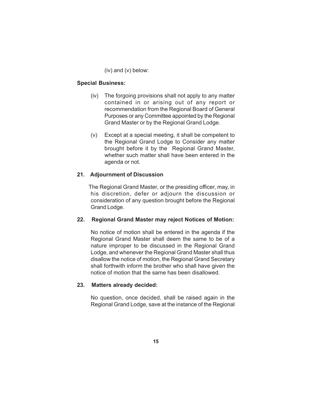(iv) and (v) below:

# **Special Business:**

- (iv) The forgoing provisions shall not apply to any matter contained in or arising out of any report or recommendation from the Regional Board of General Purposes or any Committee appointed by the Regional Grand Master or by the Regional Grand Lodge.
- (v) Except at a special meeting, it shall be competent to the Regional Grand Lodge to Consider any matter brought before it by the Regional Grand Master, whether such matter shall have been entered in the agenda or not.

# **21. Adjournment of Discussion**

 The Regional Grand Master, or the presiding officer, may, in his discretion, defer or adjourn the discussion or consideration of any question brought before the Regional Grand Lodge.

#### **22. Regional Grand Master may reject Notices of Motion:**

No notice of motion shall be entered in the agenda if the Regional Grand Master shall deem the same to be of a nature improper to be discussed in the Regional Grand Lodge, and whenever the Regional Grand Master shall thus disallow the notice of motion, the Regional Grand Secretary shall forthwith inform the brother who shall have given the notice of motion that the same has been disallowed.

#### **23. Matters already decided:**

No question, once decided, shall be raised again in the Regional Grand Lodge, save at the instance of the Regional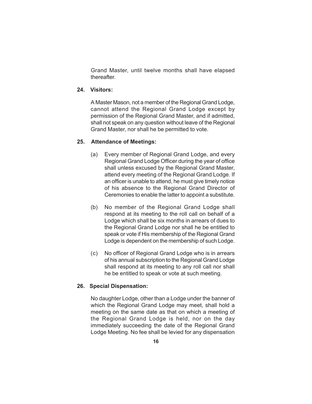Grand Master, until twelve months shall have elapsed thereafter.

# **24. Visitors:**

A Master Mason, not a member of the Regional Grand Lodge, cannot attend the Regional Grand Lodge except by permission of the Regional Grand Master, and if admitted, shall not speak on any question without leave of the Regional Grand Master, nor shall he be permitted to vote.

#### **25. Attendance of Meetings:**

- (a) Every member of Regional Grand Lodge, and every Regional Grand Lodge Officer during the year of office shall unless excused by the Regional Grand Master, attend every meeting of the Regional Grand Lodge. If an officer is unable to attend, he must give timely notice of his absence to the Regional Grand Director of Ceremonies to enable the latter to appoint a substitute.
- (b) No member of the Regional Grand Lodge shall respond at its meeting to the roll call on behalf of a Lodge which shall be six months in arrears of dues to the Regional Grand Lodge nor shall he be entitled to speak or vote if His membership of the Regional Grand Lodge is dependent on the membership of such Lodge.
- (c) No officer of Regional Grand Lodge who is in arrears of his annual subscription to the Regional Grand Lodge shall respond at its meeting to any roll call nor shall he be entitled to speak or vote at such meeting.

# **26. Special Dispensation:**

No daughter Lodge, other than a Lodge under the banner of which the Regional Grand Lodge may meet, shall hold a meeting on the same date as that on which a meeting of the Regional Grand Lodge is held, nor on the day immediately succeeding the date of the Regional Grand Lodge Meeting. No fee shall be levied for any dispensation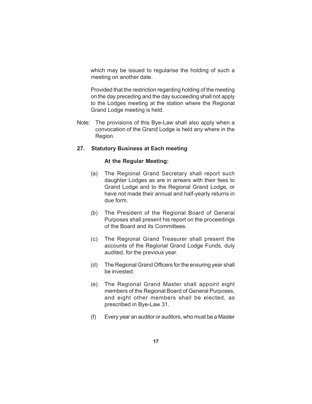which may be issued to regularise the holding of such a meeting on another date.

Provided that the restriction regarding holding of the meeting on the day preceding and the day succeeding shall not apply to the Lodges meeting at the station where the Regional Grand Lodge meeting is held.

Note: The provisions of this Bye-Law shall also apply when a convocation of the Grand Lodge is held any where in the Region.

### **27. Statutory Business at Each meeting**

#### **At the Regular Meeting:**

- (a) The Regional Grand Secretary shall report such daughter Lodges as are in arrears with their fees to Grand Lodge and to the Regional Grand Lodge, or have not made their annual and half-yearly returns in due form.
- (b) The President of the Regional Board of General Purposes shall present his report on the proceedings of the Board and its Committees.
- (c) The Regional Grand Treasurer shall present the accounts of the Regional Grand Lodge Funds, duly audited, for the previous year.
- (d) The Regional Grand Officers for the ensuring year shall be invested.
- (e) The Regional Grand Master shall appoint eight members of the Regional Board of General Purposes, and eight other members shall be elected, as prescribed in Bye-Law 31.
- (f) Every year an auditor or auditors, who must be a Master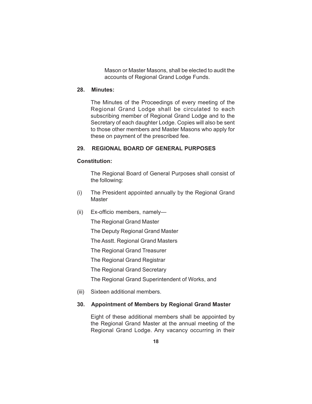Mason or Master Masons, shall be elected to audit the accounts of Regional Grand Lodge Funds.

# **28. Minutes:**

The Minutes of the Proceedings of every meeting of the Regional Grand Lodge shall be circulated to each subscribing member of Regional Grand Lodge and to the Secretary of each daughter Lodge. Copies will also be sent to those other members and Master Masons who apply for these on payment of the prescribed fee.

#### **29. REGIONAL BOARD OF GENERAL PURPOSES**

#### **Constitution:**

The Regional Board of General Purposes shall consist of the following:

- (i) The President appointed annually by the Regional Grand Master
- (ii) Ex-officio members, namely—

The Regional Grand Master

The Deputy Regional Grand Master

The Asstt. Regional Grand Masters

The Regional Grand Treasurer

The Regional Grand Registrar

The Regional Grand Secretary

The Regional Grand Superintendent of Works, and

(iii) Sixteen additional members.

#### **30. Appointment of Members by Regional Grand Master**

Eight of these additional members shall be appointed by the Regional Grand Master at the annual meeting of the Regional Grand Lodge. Any vacancy occurring in their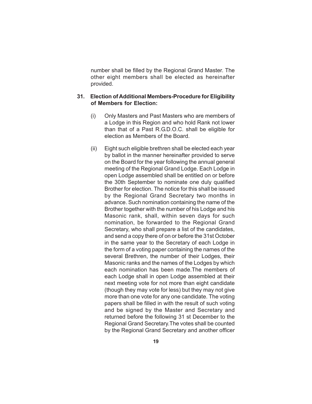number shall be filled by the Regional Grand Master. The other eight members shall be elected as hereinafter provided.

#### **31. Election of Additional Members-Procedure for Eligibility of Members for Election:**

- (i) Only Masters and Past Masters who are members of a Lodge in this Region and who hold Rank not lower than that of a Past R.G.D.O.C. shall be eligible for election as Members of the Board.
- (ii) Eight such eligible brethren shall be elected each year by ballot in the manner hereinafter provided to serve on the Board for the year following the annual general meeting of the Regional Grand Lodge. Each Lodge in open Lodge assembled shall be entitled on or before the 30th September to nominate one duly qualified Brother for election. The notice for this shall be issued by the Regional Grand Secretary two months in advance. Such nomination containing the name of the Brother together with the number of his Lodge and his Masonic rank, shall, within seven days for such nomination, be forwarded to the Regional Grand Secretary, who shall prepare a list of the candidates, and send a copy there of on or before the 31st October in the same year to the Secretary of each Lodge in the form of a voting paper containing the names of the several Brethren, the number of their Lodges, their Masonic ranks and the names of the Lodges by which each nomination has been made.The members of each Lodge shall in open Lodge assembled at their next meeting vote for not more than eight candidate (though they may vote for less) but they may not give more than one vote for any one candidate. The voting papers shall be filled in with the result of such voting and be signed by the Master and Secretary and returned before the following 31 st December to the Regional Grand Secretary.The votes shall be counted by the Regional Grand Secretary and another officer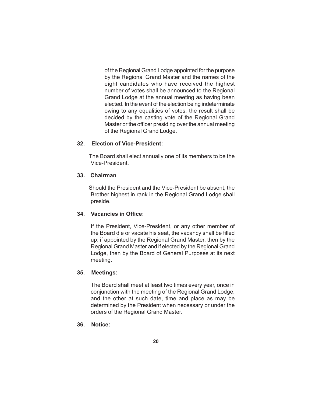of the Regional Grand Lodge appointed for the purpose by the Regional Grand Master and the names of the eight candidates who have received the highest number of votes shall be announced to the Regional Grand Lodge at the annual meeting as having been elected. In the event of the election being indeterminate owing to any equalities of votes, the result shall be decided by the casting vote of the Regional Grand Master or the officer presiding over the annual meeting of the Regional Grand Lodge.

# **32. Election of Vice-President:**

 The Board shall elect annually one of its members to be the Vice-President.

#### **33. Chairman**

 Should the President and the Vice-President be absent, the Brother highest in rank in the Regional Grand Lodge shall preside.

#### **34. Vacancies in Office:**

If the President, Vice-President, or any other member of the Board die or vacate his seat, the vacancy shall be filled up; if appointed by the Regional Grand Master, then by the Regional Grand Master and if elected by the Regional Grand Lodge, then by the Board of General Purposes at its next meeting.

#### **35. Meetings:**

The Board shall meet at least two times every year, once in conjunction with the meeting of the Regional Grand Lodge, and the other at such date, time and place as may be determined by the President when necessary or under the orders of the Regional Grand Master.

#### **36. Notice:**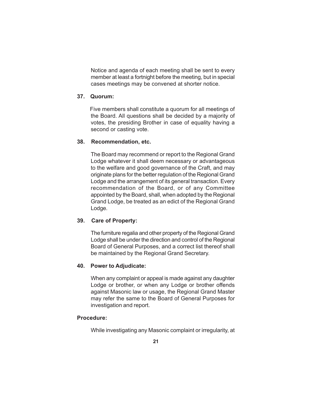Notice and agenda of each meeting shall be sent to every member at least a fortnight before the meeting, but in special cases meetings may be convened at shorter notice.

#### **37. Quorum:**

 Five members shall constitute a quorum for all meetings of the Board. All questions shall be decided by a majority of votes, the presiding Brother in case of equality having a second or casting vote.

#### **38. Recommendation, etc.**

The Board may recommend or report to the Regional Grand Lodge whatever it shall deem necessary or advantageous to the welfare and good governance of the Craft, and may originate plans for the better regulation of the Regional Grand Lodge and the arrangement of its general transaction. Every recommendation of the Board, or of any Committee appointed by the Board, shall, when adopted by the Regional Grand Lodge, be treated as an edict of the Regional Grand Lodge.

#### **39. Care of Property:**

The furniture regalia and other property of the Regional Grand Lodge shall be under the direction and control of the Regional Board of General Purposes, and a correct list thereof shall be maintained by the Regional Grand Secretary.

#### **40. Power to Adjudicate:**

When any complaint or appeal is made against any daughter Lodge or brother, or when any Lodge or brother offends against Masonic law or usage, the Regional Grand Master may refer the same to the Board of General Purposes for investigation and report.

#### **Procedure:**

While investigating any Masonic complaint or irregularity, at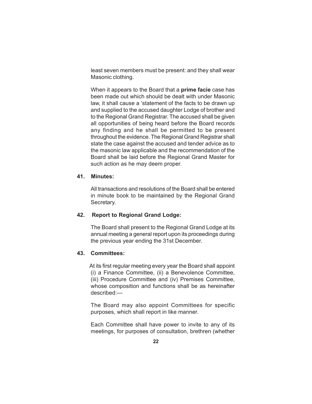least seven members must be present: and they shall wear Masonic clothing.

When it appears to the Board that a **prime facie** case has been made out which should be dealt with under Masonic law, it shall cause a 'statement of the facts to be drawn up and supplied to the accused daughter Lodge of brother and to the Regional Grand Registrar. The accused shall be given all opportunities of being heard before the Board records any finding and he shall be permitted to be present throughout the evidence. The Regional Grand Registrar shall state the case against the accused and tender advice as to the masonic law applicable and the recommendation of the Board shall be laid before the Regional Grand Master for such action as he may deem proper.

#### **41. Minutes:**

All transactions and resolutions of the Board shall be entered in minute book to be maintained by the Regional Grand Secretary.

#### **42. Report to Regional Grand Lodge:**

The Board shall present to the Regional Grand Lodge at its annual meeting a general report upon its proceedings during the previous year ending the 31st December.

#### **43. Committees:**

 At its first regular meeting every year the Board shall appoint (i) a Finance Committee, (ii) a Benevolence Committee, (iii) Procedure Committee and (iv) Premises Committee, whose composition and functions shall be as hereinafter described:—

The Board may also appoint Committees for specific purposes, which shall report in like manner.

Each Committee shall have power to invite to any of its meetings, for purposes of consultation, brethren (whether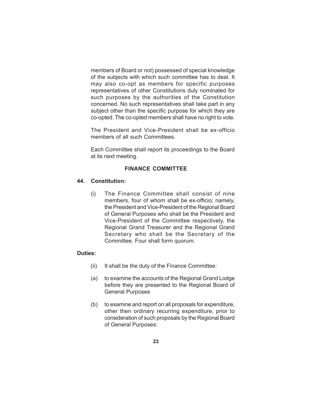members of Board or not) possessed of special knowledge of the subjects with which such committee has to deal. It may also co-opt as members for specific purposes representatives of other Constitutions duly nominated for such purposes by the authorities of the Constitution concerned. No such representatives shall take part in any subject other than the specific purpose for which they are co-opted. The co-opted members shall have no right to vote.

The President and Vice-President shall be ex-officio members of all such Committees.

Each Committee shall report its proceedings to the Board at its next meeting.

# **FINANCE COMMITTEE**

#### **44. Constitution:**

(i) The Finance Committee shall consist of nine members, four of whom shall be ex-officio; namely, the President and Vice-President of the Regional Board of General Purposes who shall be the President and Vice-President of the Committee respectively, the Regional Grand Treasurer and the Regional Grand Secretary who shall be the Secretary of the Committee. Four shall form quorum.

#### **Duties:**

- (ii) It shall be the duty of the Finance Committee:
- (a) to examine the accounts of the Regional Grand Lodge before they are presented to the Regional Board of General Purposes
- (b) to examine and report on all proposals for expenditure, other then ordinary recurring expenditure, prior to consideration of such proposals by the Regional Board of General Purposes: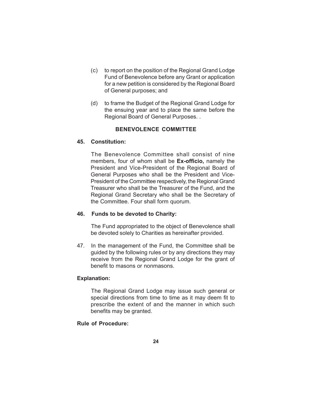- (c) to report on the position of the Regional Grand Lodge Fund of Benevolence before any Grant or application for a new petition is considered by the Regional Board of General purposes; and
- (d) to frame the Budget of the Regional Grand Lodge for the ensuing year and to place the same before the Regional Board of General Purposes. .

# **BENEVOLENCE COMMITTEE**

#### **45. Constitution:**

The Benevolence Committee shall consist of nine members, four of whom shall be **Ex-officio,** namely the President and Vice-President of the Regional Board of General Purposes who shall be the President and Vice-President of the Committee respectively, the Regional Grand Treasurer who shall be the Treasurer of the Fund, and the Regional Grand Secretary who shall be the Secretary of the Committee. Four shall form quorum.

#### **46. Funds to be devoted to Charity:**

The Fund appropriated to the object of Benevolence shall be devoted solely to Charities as hereinafter provided.

47. In the management of the Fund, the Committee shall be guided by the following rules or by any directions they may receive from the Regional Grand Lodge for the grant of benefit to masons or nonmasons.

#### **Explanation:**

The Regional Grand Lodge may issue such general or special directions from time to time as it may deem fit to prescribe the extent of and the manner in which such benefits may be granted.

#### **Rule of Procedure:**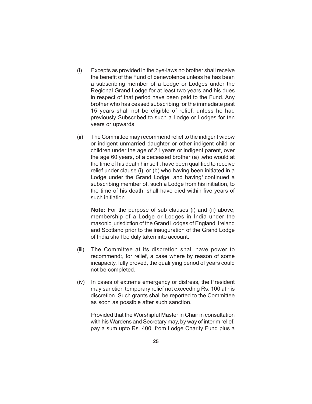- (i) Excepts as provided in the bye-laws no brother shall receive the benefit of the Fund of benevolence unless he has been a subscribing member of a Lodge or Lodges under the Regional Grand Lodge for at least two years and his dues in respect of that period have been paid to the Fund. Any brother who has ceased subscribing for the immediate past 15 years shall not be eligible of relief, unless he had previously Subscribed to such a Lodge or Lodges for ten years or upwards.
- (ii) The Committee may recommend relief to the indigent widow or indigent unmarried daughter or other indigent child or children under the age of 21 years or indigent parent, over the age 60 years, of a deceased brother (a) .who would at the time of his death himself . have been qualified to receive relief under clause (i), or (b) who having been initiated in a Lodge under the Grand Lodge, and having<sup>1</sup> continued a subscribing member of. such a Lodge from his initiation, to the time of his death, shall have died within five years of such initiation.

**Note:** For the purpose of sub clauses (i) and (ii) above, membership of a Lodge or Lodges in India under the masonic jurisdiction of the Grand Lodges of England, Ireland and Scotland prior to the inauguration of the Grand Lodge of India shall be duly taken into account.

- (iii) The Committee at its discretion shall have power to recommend:, for relief, a case where by reason of some incapacity, fully proved, the qualifying period of years could not be completed.
- (iv) In cases of extreme emergency or distress, the President may sanction temporary relief not exceeding Rs. 100 at his discretion. Such grants shall be reported to the Committee as soon as possible after such sanction.

Provided that the Worshipful Master in Chair in consultation with his Wardens and Secretary may, by way of interim relief, pay a sum upto Rs. 400 from Lodge Charity Fund plus a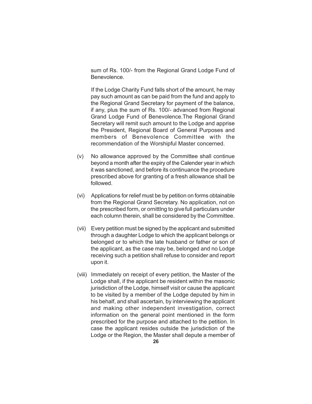sum of Rs. 100/- from the Regional Grand Lodge Fund of Benevolence.

If the Lodge Charity Fund falls short of the amount, he may pay such amount as can be paid from the fund and apply to the Regional Grand Secretary for payment of the balance, if any, plus the sum of Rs. 100/- advanced from Regional Grand Lodge Fund of Benevolence.The Regional Grand Secretary will remit such amount to the Lodge and apprise the President, Regional Board of General Purposes and members of Benevolence Committee with the recommendation of the Worshipful Master concerned.

- (v) No allowance approved by the Committee shall continue beyond a month after the expiry of the Calender year in which it was sanctioned, and before its continuance the procedure prescribed above for granting of a fresh allowance shall be followed.
- (vi) Applications for relief must be by petition on forms obtainable from the Regional Grand Secretary. No application, not on the prescribed form, or ornittlng to givefull particulars under each column therein, shall be considered by the Committee.
- (vii) Every petition must be signed by the applicant and submitted through a daughter Lodge to which the applicant belongs or belonged or to which the late husband or father or son of the applicant, as the case may be, belonged and no Lodge receiving such a petition shall refuse to consider and report upon it.
- (viii) Immediately on receipt of every petition, the Master of the Lodge shall, if the applicant be resident within the masonic jurisdiction of the Lodge, himself visit or cause the applicant to be visited by a member of the Lodge deputed by him in his behalf, and shall ascertain, by interviewing the applicant and making other independent investigation, correct information on the general point mentioned in the form prescribed for the purpose and attached to the petition. In case the applicant resides outside the jurisdiction of the Lodge or the Region, the Master shall depute a member of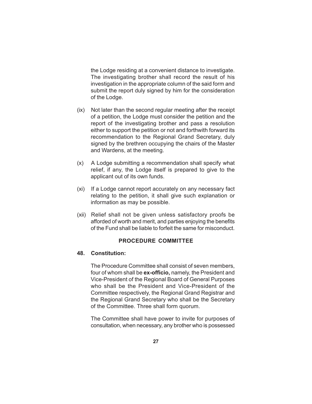the Lodge residing at a convenient distance to investigate. The investigating brother shall record the result of his investigation in the appropriate column of the said form and submit the report duly signed by him for the consideration of the Lodge.

- (ix) Not later than the second regular meeting after the receipt of a petition, the Lodge must consider the petition and the report of the investigating brother and pass a resolution either to support the petition or not and forthwith forward its recommendation to the Regional Grand Secretary, duly signed by the brethren occupying the chairs of the Master and Wardens, at the meeting.
- (x) A Lodge submitting a recommendation shall specify what relief, if any, the Lodge itself is prepared to give to the applicant out of its own funds.
- (xi) If a Lodge cannot report accurately on any necessary fact relating to the petition, it shall give such explanation or information as may be possible.
- (xii) Relief shall not be given unless satisfactory proofs be afforded of worth and merit, and parties enjoying the benefits of the Fund shall be liable to forfeit the same for misconduct.

# **PROCEDURE COMMITTEE**

### **48. Constitution:**

The Procedure Committee shall consist of seven members, four of whom shall be **ex-officio,** namely, the President and Vice-President of the Regional Board of General Purposes who shall be the President and Vice-President of the Committee respectively, the Regional Grand Registrar and the Regional Grand Secretary who shall be the Secretary of the Committee. Three shall form quorum.

The Committee shall have power to invite for purposes of consultation, when necessary, any brother who is possessed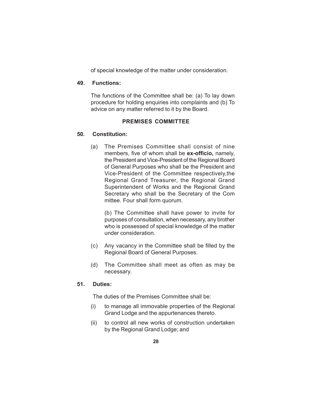of special knowledge of the matter under consideration.

#### **49. Functions:**

The functions of the Committee shall be: (a) To lay down procedure for holding enquiries into complaints and (b) To advice on any matter referred to it by the Board.

#### **PREMISES COMMITTEE**

#### **50. Constitution:**

(a) The Premises Committee shall consist of nine members, five of whom shall be **ex-officio,** namely, the President and Vice-President of the Regional Board of General Purposes who shall be the President and Vice-President of the Committee respectively,the Regional Grand Treasurer, the Regional Grand Superintendent of Works and the Regional Grand Secretary who shall be the Secretary of the Com mittee. Four shall form quorum.

(b) The Committee shall have power to invite for purposes of consultation, when necessary, any brother who is possessed of special knowledge of the matter under consideration.

- (c) Any vacancy in the Committee shall be filled by the Regional Board of General Purposes.
- (d) The Committee shall meet as often as may be necessary.

#### **51. Duties:**

The duties of the Premises Committee shall be:

- (i) to manage all immovable properties of the Regional Grand Lodge and the appurtenances thereto.
- (ii) to control all new works of construction undertaken by the Regional Grand Lodge; and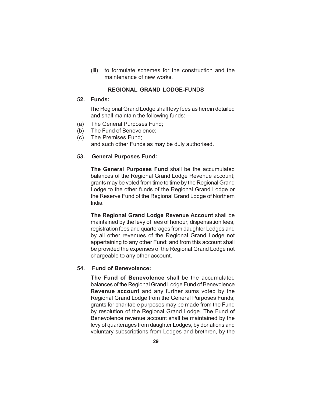(iii) to formulate schemes for the construction and the maintenance of new works.

#### **REGIONAL GRAND LODGE-FUNDS**

#### **52. Funds:**

 The Regional Grand Lodge shall levy fees as herein detailed and shall maintain the following funds:—

- (a) The General Purposes Fund;
- (b) The Fund of Benevolence;
- (c) The Premises Fund; and such other Funds as may be duly authorised.

#### **53. General Purposes Fund:**

**The General Purposes Fund** shall be the accumulated balances of the Regional Grand Lodge Revenue account; grants may be voted from time to time by the Regional Grand Lodge to the other funds of the Regional Grand Lodge or the Reserve Fund of the Regional Grand Lodge of Northern India.

**The Regional Grand Lodge Revenue Account** shall be maintained by the levy of fees of honour, dispensation fees, registration fees and quarterages from daughter Lodges and by all other revenues of the Regional Grand Lodge not appertaining to any other Fund; and from this account shall be provided the expenses of the Regional Grand Lodge not chargeable to any other account.

#### **54. Fund of Benevolence:**

**The Fund of Benevolence** shall be the accumulated balances of the Regional Grand Lodge Fund of Benevolence **Revenue account** and any further sums voted by the Regional Grand Lodge from the General Purposes Funds; grants for charitable purposes may be made from the Fund by resolution of the Regional Grand Lodge. The Fund of Benevolence revenue account shall be maintained by the levy of quarterages from daughter Lodges, by donations and voluntary subscriptions from Lodges and brethren, by the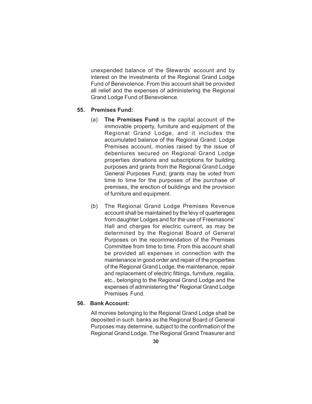unexpended balance of the Stewards' account and by interest on the investments of the Regional Grand Lodge Fund of Benevolence. From this account shall be provided all relief and the expenses of administering the Regional Grand Lodge Fund of Benevolence.

#### **55. Premises Fund:**

- (a) **The Premises Fund** is the capital account of the immovable property, furniture and equipment of the Regional Grand Lodge, and it includes the accumulated balance of the Regional Grand. Lodge Premises account, monies raised by the issue of debentures secured on Regional Grand Lodge properties donations and subscriptions for building purposes and grants from the Regional Grand Lodge General Purposes Fund; grants may be voted from time to time for the purposes of the purchase of premises, the erection of buildings and the provision of furniture and equipment.
- (b) The Regional Grand Lodge Premises Revenue account shall be maintained by the levy of quarterages from daughter Lodges and for the use of Freemasons' Hall and charges for electric current, as may be determined by the Regional Board of General Purposes on the recommendation of the Premises Committee from time to time. From this account shall be provided all expenses in connection with the maintenance in good order and repair of the properties of the Regional Grand Lodge, the maintenance, repair and replacement of electric fittings, furniture, regalia, etc., belonging to the Regional Grand Lodge and the expenses of administering the\* Regional Grand Lodge Premises Fund.

#### **56. Bank Account:**

All monies belonging to the Regional Grand Lodge shall be deposited in such banks as the Regional Board of General Purposes may determine, subject to the confirmation of the Regional Grand Lodge. The Regional Grand Treasurer and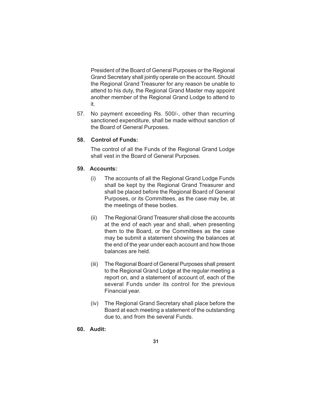President of the Board of General Purposes or the Regional Grand Secretary shall jointly operate on the account. Should the Regional Grand Treasurer for any reason be unable to attend to his duty, the Regional Grand Master may appoint another member of the Regional Grand Lodge to attend to it.

57. No payment exceeding Rs. 500/-, other than recurring sanctioned expenditure, shall be made without sanction of the Board of General Purposes.

# **58. Control of Funds:**

The control of all the Funds of the Regional Grand Lodge shall vest in the Board of General Purposes.

#### **59. Accounts:**

- (i) The accounts of all the Regional Grand Lodge Funds shall be kept by the Regional Grand Treasurer and shall be placed before the Regional Board of General Purposes, or its Committees, as the case may be, at the meetings of these bodies.
- (ii) The Regional Grand Treasurer shall close the accounts at the end of each year and shall, when presenting them to the Board, or the Committees as the case may be submit a statement showing the balances at the end of the year under each account and how those balances are held.
- (iii) The Regional Board of General Purposes shall present to the Regional Grand Lodge at the regular meeting a report on, and a statement of account of, each of the several Funds under its control for the previous Financial year.
- (iv) The Regional Grand Secretary shall place before the Board at each meeting a statement of the outstanding due to, and from the several Funds.

#### **60. Audit:**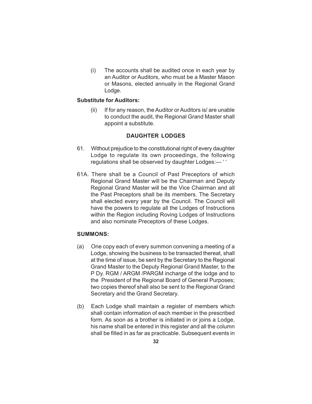(i) The accounts shall be audited once in each year by an Auditor or Auditors, who must be a Master Mason or Masons, elected annually in the Regional Grand Lodge.

#### **Substitute for Auditors:**

(ii) If for any reason, the Auditor or Auditors is/ are unable to conduct the audit, the Regional Grand Master shall appoint a substitute.

# **DAUGHTER LODGES**

- 61. Without prejudice to the constitutional right of every daughter Lodge to regulate its own proceedings, the following regulations shall be observed by daughter Lodges:— ' '
- 61A. There shall be a Council of Past Preceptors of which Regional Grand Master will be the Chairman and Deputy Regional Grand Master will be the Vice Chairman and all the Past Preceptors shall be its members. The Secretary shall elected every year by the Council. The Council will have the powers to regulate all the Lodges of Instructions within the Region including Roving Lodges of Instructions and also nominate Preceptors of these Lodges.

### **SUMMONS:**

- (a) One copy each of every summon convening a meeting of a Lodge, showing the business to be transacted thereat, shall at the time of issue, be sent by the Secretary to the Regional Grand Master to the Deputy Regional Grand Master, to the P Dy. RGM / ARGM /PARGM incharge of the lodge and to the President of the Regional Board of General Purposes; two copies thereof shall also be sent to the Regional Grand Secretary and the Grand Secretary.
- (b) Each Lodge shall maintain a register of members which shall contain information of each member in the prescribed form. As soon as a brother is initiated in or joins a Lodge, his name shall be entered in this register and all the column shall be filled in as far as practicable. Subsequent events in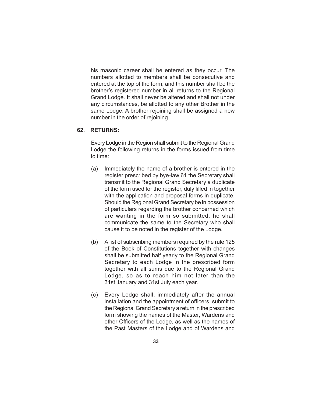his masonic career shall be entered as they occur. The numbers allotted to members shall be consecutive and entered at the top of the form, and this number shall be the brother's registered number in all returns to the Regional Grand Lodge. It shall never be altered and shall not under any circumstances, be allotted to any other Brother in the same Lodge. A brother rejoining shall be assigned a new number in the order of rejoining.

#### **62. RETURNS:**

Every Lodge in the Region shall submit to the Regional Grand Lodge the following returns in the forms issued from time to time:

- (a) Immediately the name of a brother is entered in the register prescribed by bye-law 61 the Secretary shall transmit to the Regional Grand Secretary a duplicate of the form used for the register, duly filled in together with the application and proposal forms in duplicate. Should the Regional Grand Secretary be in possession of particulars regarding the brother concerned which are wanting in the form so submitted, he shall communicate the same to the Secretary who shall cause it to be noted in the register of the Lodge.
- (b) A list of subscribing members required by the rule 125 of the Book of Constitutions together with changes shall be submitted half yearly to the Regional Grand Secretary to each Lodge in the prescribed form together with all sums due to the Regional Grand Lodge, so as to reach him not later than the 31st January and 31st July each year.
- (c) Every Lodge shall, immediately after the annual installation and the appointment of officers, submit to the Regional Grand Secretary a return in the prescribed form showing the names of the Master, Wardens and other Officers of the Lodge, as well as the names of the Past Masters of the Lodge and of Wardens and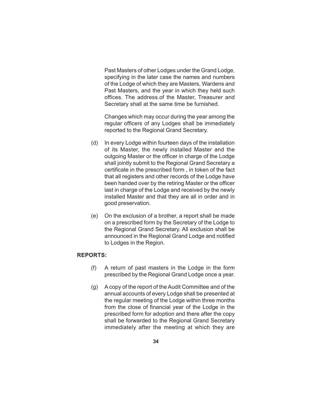Past Masters of other Lodges under the Grand Lodge, specifying in the later case the names and numbers of the Lodge of which they are Masters, Wardens and Past Masters, and the year in which they held such offices. The address.of the Master, Treasurer and Secretary shall at the same time be furnished.

Changes which may occur during the year among the regular officers of any Lodges shall be immediately reported to the Regional Grand Secretary.

- (d) In every Lodge within fourteen days of the installation of its Master, the newly installed Master and the outgoing Master or the officer in charge of the Lodge shall jointly submit to the Regional Grand Secretary a certificate in the prescribed form , in token of the fact that all registers and other records of the Lodge have been handed over by the retiring Master or the officer last in charge of the Lodge and received by the newly installed Master and that they are all in order and in good preservation.
- (e) On the exclusion of a brother, a report shall be made on a prescribed form by the Secretary of the Lodge to the Regional Grand Secretary. All exclusion shall be announced in the Regional Grand Lodge and notified to Lodges in the Region.

# **REPORTS:**

- (f) A return of past masters in the Lodge in the form prescribed by the Regional Grand Lodge once a year.
- (g) A copy of the report of the Audit Committee and of the annual accounts of every Lodge shall be presented at the regular meeting of the Lodge within three months from the close of financial year of the Lodge in the prescribed form for adoption and there after the copy shall be forwarded to the Regional Grand Secretary immediately after the meeting at which they are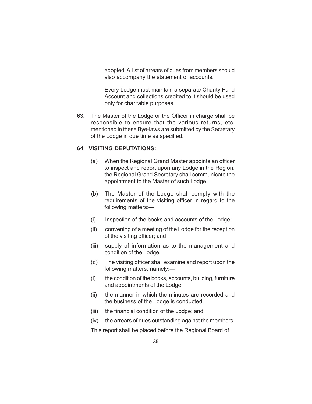adopted. A list of arrears of dues from members should also accompany the statement of accounts.

Every Lodge must maintain a separate Charity Fund Account and collections credited to it should be used only for charitable purposes.

63. The Master of the Lodge or the Officer in charge shall be responsible to ensure that the various returns, etc. mentioned in these Bye-laws are submitted by the Secretary of the Lodge in due time as specified.

#### **64. VISITING DEPUTATIONS:**

- (a) When the Regional Grand Master appoints an officer to inspect and report upon any Lodge in the Region, the Regional Grand Secretary shall communicate the appointment to the Master of such Lodge.
- (b) The Master of the Lodge shall comply with the requirements of the visiting officer in regard to the following matters:—
- (i) Inspection of the books and accounts of the Lodge;
- (ii) convening of a meeting of the Lodge for the reception of the visiting officer; and
- (iii) supply of information as to the management and condition of the Lodge.
- (c) The visiting officer shall examine and report upon the following matters, namely:—
- (i) the condition of the books, accounts, building, furniture and appointments of the Lodge;
- (ii) the manner in which the minutes are recorded and the business of the Lodge is conducted;
- (iii) the financial condition of the Lodge; and
- (iv) the arrears of dues outstanding against the members.

This report shall be placed before the Regional Board of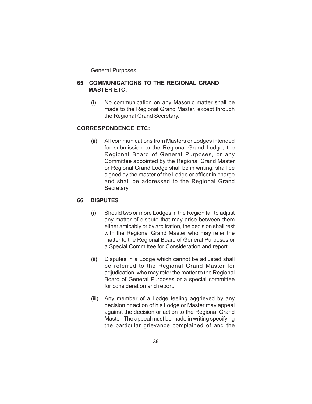General Purposes.

# **65. COMMUNICATIONS TO THE REGIONAL GRAND MASTER ETC:**

(i) No communication on any Masonic matter shall be made to the Regional Grand Master, except through the Regional Grand Secretary.

# **CORRESPONDENCE ETC:**

(ii) All communications from Masters or Lodges intended for submission to the Regional Grand Lodge, the Regional Board of General Purposes, or any Committee appointed by the Regional Grand Master or Regional Grand Lodge shall be in writing, shall be signed by the master of the Lodge or officer in charge and shall be addressed to the Regional Grand Secretary.

# **66. DISPUTES**

- (i) Should two or more Lodges in the Region fail to adjust any matter of dispute that may arise between them either amicably or by arbitration, the decision shall rest with the Regional Grand Master who may refer the matter to the Regional Board of General Purposes or a Special Committee for Consideration and report.
- (ii) Disputes in a Lodge which cannot be adjusted shall be referred to the Regional Grand Master for adjudication, who may refer the matter to the Regional Board of General Purposes or a special committee for consideration and report.
- (iii) Any member of a Lodge feeling aggrieved by any decision or action of his Lodge or Master may appeal against the decision or action to the Regional Grand Master. The appeal must be made in writing specifying the particular grievance complained of and the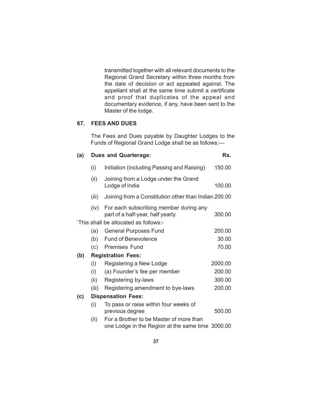transmitted together with all relevant documents to the Regional Grand Secretary within three months from the date of decision or act appealed against. The appellant shall at the same time submit a certificate and proof that duplicates of the appeal and documentary evidence, if any, have been sent to the Master of the lodge.

# **67. FEES AND DUES**

The Fees and Dues payable by Daughter Lodges to the Funds of Regional Grand Lodge shall be as follows:—

# **(a) Dues and Quarterage: Rs.** (i) Initiation (including Passing and Raising) 150.00 (ii) Joining from a Lodge under the Grand Lodge of India 100.00 (iii) Joining from a Constitution other than Indian 200.00 (iv) For each subscribing member during any part of a half-year, half yearly. 300.00 'This shall be allocated as follows:- (a) General Purposes Fund 200.00 (b) Fund of Benevolence 30.00 (c) Premises Fund 70.00 **(b) Registration Fees:** (i) Registering a New Lodge 2000.00 (i) (a) Founder's fee per member 200.00 (ii) Registering by-laws 300.00 (iii) Registering amendment to bye-laws 200.00 **(c) Dispensation Fees:** (i) To pass or raise within four weeks of previous degree 500.00 (ii) For a Brother to be Master of more than one Lodge in the Region at the same time 3000.00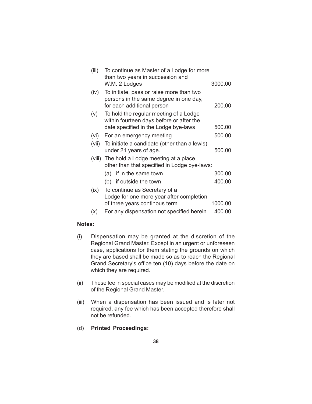| (iii) | To continue as Master of a Lodge for more<br>than two years in succession and                                    |         |  |  |
|-------|------------------------------------------------------------------------------------------------------------------|---------|--|--|
|       | W.M. 2 Lodges                                                                                                    | 3000.00 |  |  |
| (iv)  | To initiate, pass or raise more than two<br>persons in the same degree in one day,<br>for each additional person | 200.00  |  |  |
| (v)   | To hold the regular meeting of a Lodge<br>within fourteen days before or after the                               |         |  |  |
|       | date specified in the Lodge bye-laws                                                                             | 500.00  |  |  |
| (vi)  | For an emergency meeting                                                                                         | 500.00  |  |  |
| (vii) | To initiate a candidate (other than a lewis)<br>500.00<br>under 21 years of age.                                 |         |  |  |
|       | (viii) The hold a Lodge meeting at a place<br>other than that specified in Lodge bye-laws:                       |         |  |  |
|       | if in the same town<br>(a)                                                                                       | 300.00  |  |  |
|       | (b) if outside the town                                                                                          | 400.00  |  |  |
| (ix)  | To continue as Secretary of a                                                                                    |         |  |  |
|       | Lodge for one more year after completion<br>of three years continous term                                        | 1000.00 |  |  |
| (x)   | For any dispensation not specified herein                                                                        | 400.00  |  |  |

#### **Notes:**

- (i) Dispensation may be granted at the discretion of the Regional Grand Master. Except in an urgent or unforeseen case, applications for them stating the grounds on which they are based shall be made so as to reach the Regional Grand Secretary's office ten (10) days before the date on which they are required.
- (ii) These fee in special cases may be modified at the discretion of the Regional Grand Master.
- (iii) When a dispensation has been issued and is later not required, any fee which has been accepted therefore shall not be refunded.

# (d) **Printed Proceedings:**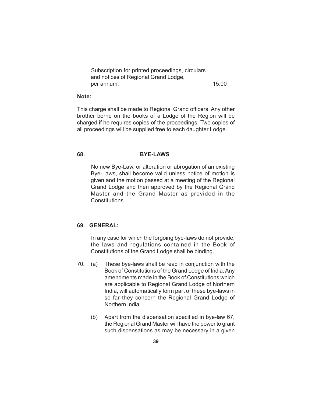| Subscription for printed proceedings, circulars |       |
|-------------------------------------------------|-------|
| and notices of Regional Grand Lodge,            |       |
| per annum.                                      | 15.00 |

#### **Note:**

This charge shall be made to Regional Grand officers. Any other brother borne on the books of a Lodge of the Region will be charged if he requires copies of the proceedings. Two copies of all proceedings will be supplied free to each daughter Lodge.

#### **68. BYE-LAWS**

No new Bye-Law, or alteration or abrogation of an existing Bye-Laws, shall become valid unless notice of motion is given and the motion passed at a meeting of the Regional Grand Lodge and then approved by the Regional Grand Master and the Grand Master as provided in the Constitutions.

#### **69. GENERAL:**

In any case for which the forgoing bye-laws do not provide, the laws and regulations contained in the Book of Constitutions of the Grand Lodge shall be binding.

- 70. (a) These bye-laws shall be read in conjunction with the Book of Constitutions of the Grand Lodge of India. Any amendments made in the Book of Constitutions which are applicable to Regional Grand Lodge of Northern India, will automatically form part of these bye-laws in so far they concern the Regional Grand Lodge of Northern India.
	- (b) Apart from the dispensation specified in bye-law 67, the Regional Grand Master will have the power to grant such dispensations as may be necessary in a given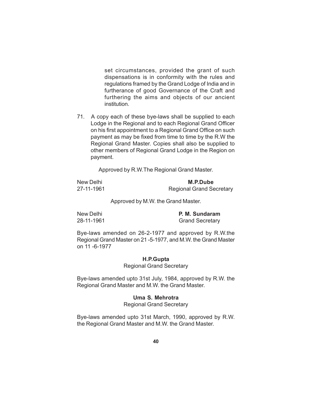set circumstances, provided the grant of such dispensations is in conformity with the rules and regulations framed by the Grand Lodge of India and in furtherance of good Governance of the Craft and furthering the aims and objects of our ancient institution.

71. A copy each of these bye-laws shall be supplied to each Lodge in the Regional and to each Regional Grand Officer on his first appointment to a Regional Grand Office on such payment as may be fixed from time to time by the R.W the Regional Grand Master. Copies shall also be supplied to other members of Regional Grand Lodge in the Region on payment.

Approved by R.W.The Regional Grand Master.

| New Delhi  | M.P.Dube                        |
|------------|---------------------------------|
| 27-11-1961 | <b>Regional Grand Secretary</b> |

Approved by M.W. the Grand Master.

New Delhi **P. M. Sundaram** 28-11-1961 Grand Secretary

Bye-laws amended on 26-2-1977 and approved by R.W.the Regional Grand Master on 21 -5-1977, and M.W. the Grand Master on 11 -6-1977

#### **H.P.Gupta**

Regional Grand Secretary

Bye-laws amended upto 31st July, 1984, approved by R.W. the Regional Grand Master and M.W. the Grand Master.

#### **Uma S. Mehrotra**

Regional Grand Secretary

Bye-laws amended upto 31st March, 1990, approved by R.W. the Regional Grand Master and M.W. the Grand Master.